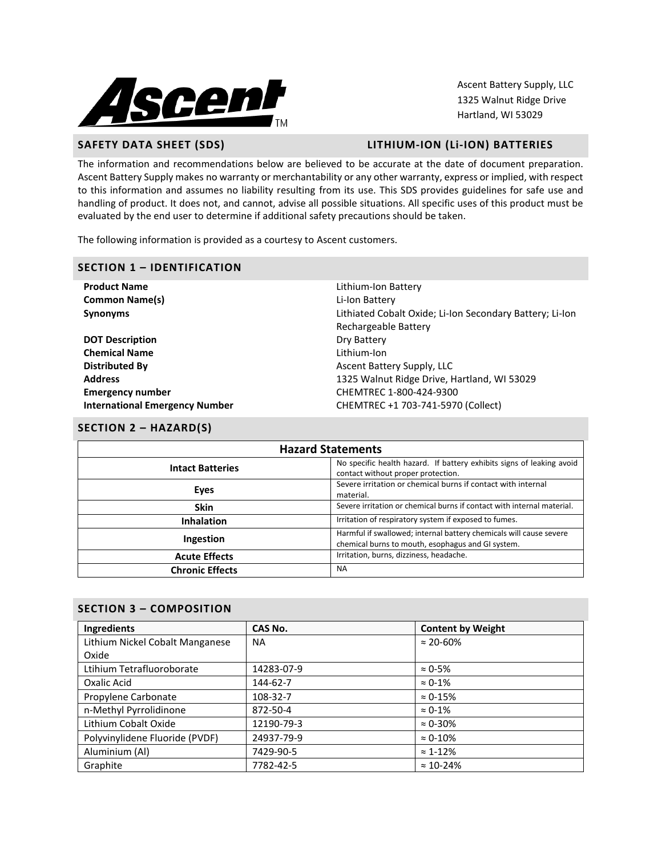

Ascent Battery Supply, LLC 1325 Walnut Ridge Drive Hartland, WI 53029

# **SAFETY DATA SHEET (SDS) LITHIUM-ION (Li-ION) BATTERIES**

The information and recommendations below are believed to be accurate at the date of document preparation. Ascent Battery Supply makes no warranty or merchantability or any other warranty, express or implied, with respect to this information and assumes no liability resulting from its use. This SDS provides guidelines for safe use and handling of product. It does not, and cannot, advise all possible situations. All specific uses of this product must be evaluated by the end user to determine if additional safety precautions should be taken.

The following information is provided as a courtesy to Ascent customers.

#### **SECTION 1 – IDENTIFICATION**

| <b>Product Name</b>                   | Lithium-Ion Battery                                      |
|---------------------------------------|----------------------------------------------------------|
| <b>Common Name(s)</b>                 | Li-Ion Battery                                           |
| <b>Synonyms</b>                       | Lithiated Cobalt Oxide; Li-Ion Secondary Battery; Li-Ion |
|                                       | Rechargeable Battery                                     |
| <b>DOT Description</b>                | Dry Battery                                              |
| <b>Chemical Name</b>                  | Lithium-Ion                                              |
| <b>Distributed By</b>                 | Ascent Battery Supply, LLC                               |
| <b>Address</b>                        | 1325 Walnut Ridge Drive, Hartland, WI 53029              |
| <b>Emergency number</b>               | CHEMTREC 1-800-424-9300                                  |
| <b>International Emergency Number</b> | CHEMTREC +1 703-741-5970 (Collect)                       |
|                                       |                                                          |

## **SECTION 2 – HAZARD(S)**

| <b>Hazard Statements</b> |                                                                                                                         |  |
|--------------------------|-------------------------------------------------------------------------------------------------------------------------|--|
| <b>Intact Batteries</b>  | No specific health hazard. If battery exhibits signs of leaking avoid<br>contact without proper protection.             |  |
| Eyes                     | Severe irritation or chemical burns if contact with internal<br>material.                                               |  |
| <b>Skin</b>              | Severe irritation or chemical burns if contact with internal material.                                                  |  |
| <b>Inhalation</b>        | Irritation of respiratory system if exposed to fumes.                                                                   |  |
| Ingestion                | Harmful if swallowed; internal battery chemicals will cause severe<br>chemical burns to mouth, esophagus and GI system. |  |
| <b>Acute Effects</b>     | Irritation, burns, dizziness, headache.                                                                                 |  |
| <b>Chronic Effects</b>   | <b>NA</b>                                                                                                               |  |

## **SECTION 3 – COMPOSITION**

| Ingredients                     | CAS No.    | <b>Content by Weight</b> |
|---------------------------------|------------|--------------------------|
| Lithium Nickel Cobalt Manganese | <b>NA</b>  | $\approx 20 - 60\%$      |
| Oxide                           |            |                          |
| Ltihium Tetrafluoroborate       | 14283-07-9 | $\approx$ 0-5%           |
| Oxalic Acid                     | 144-62-7   | $\approx 0.1\%$          |
| Propylene Carbonate             | 108-32-7   | $\approx 0.15\%$         |
| n-Methyl Pyrrolidinone          | 872-50-4   | $\approx 0.1\%$          |
| Lithium Cobalt Oxide            | 12190-79-3 | $\approx 0.30\%$         |
| Polyvinylidene Fluoride (PVDF)  | 24937-79-9 | $\approx 0.10\%$         |
| Aluminium (Al)                  | 7429-90-5  | $\approx$ 1-12%          |
| Graphite                        | 7782-42-5  | $\approx 10 - 24\%$      |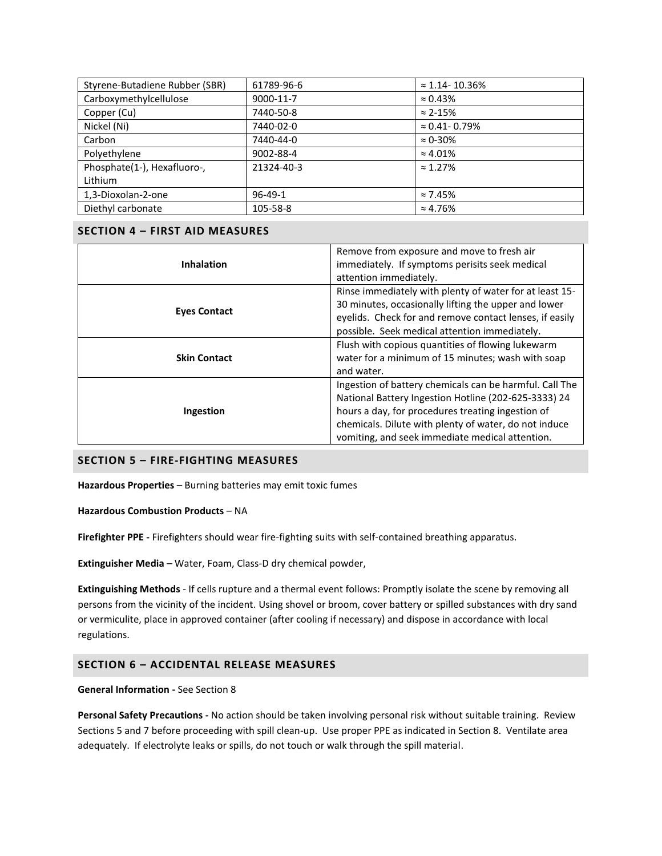| Styrene-Butadiene Rubber (SBR) | 61789-96-6    | $\approx$ 1.14-10.36%   |
|--------------------------------|---------------|-------------------------|
| Carboxymethylcellulose         | 9000-11-7     | $\approx 0.43\%$        |
| Copper (Cu)                    | 7440-50-8     | $\approx$ 2-15%         |
| Nickel (Ni)                    | 7440-02-0     | $\approx 0.41 - 0.79\%$ |
| Carbon                         | 7440-44-0     | $\approx 0.30\%$        |
| Polyethylene                   | 9002-88-4     | $\approx 4.01\%$        |
| Phosphate(1-), Hexafluoro-,    | 21324-40-3    | $\approx 1.27\%$        |
| Lithium                        |               |                         |
| 1,3-Dioxolan-2-one             | $96 - 49 - 1$ | $\approx 7.45\%$        |
| Diethyl carbonate              | 105-58-8      | $\approx 4.76\%$        |

# **SECTION 4 – FIRST AID MEASURES**

|                     | Remove from exposure and move to fresh air              |  |  |
|---------------------|---------------------------------------------------------|--|--|
| <b>Inhalation</b>   | immediately. If symptoms perisits seek medical          |  |  |
|                     | attention immediately.                                  |  |  |
|                     | Rinse immediately with plenty of water for at least 15- |  |  |
| <b>Eyes Contact</b> | 30 minutes, occasionally lifting the upper and lower    |  |  |
|                     | eyelids. Check for and remove contact lenses, if easily |  |  |
|                     | possible. Seek medical attention immediately.           |  |  |
|                     | Flush with copious quantities of flowing lukewarm       |  |  |
| <b>Skin Contact</b> | water for a minimum of 15 minutes; wash with soap       |  |  |
|                     | and water.                                              |  |  |
|                     | Ingestion of battery chemicals can be harmful. Call The |  |  |
| Ingestion           | National Battery Ingestion Hotline (202-625-3333) 24    |  |  |
|                     | hours a day, for procedures treating ingestion of       |  |  |
|                     | chemicals. Dilute with plenty of water, do not induce   |  |  |
|                     | vomiting, and seek immediate medical attention.         |  |  |

# **SECTION 5 – FIRE-FIGHTING MEASURES**

**Hazardous Properties** – Burning batteries may emit toxic fumes

**Hazardous Combustion Products** – NA

**Firefighter PPE -** Firefighters should wear fire-fighting suits with self-contained breathing apparatus.

**Extinguisher Media** – Water, Foam, Class-D dry chemical powder,

**Extinguishing Methods** - If cells rupture and a thermal event follows: Promptly isolate the scene by removing all persons from the vicinity of the incident. Using shovel or broom, cover battery or spilled substances with dry sand or vermiculite, place in approved container (after cooling if necessary) and dispose in accordance with local regulations.

# **SECTION 6 – ACCIDENTAL RELEASE MEASURES**

## **General Information -** See Section 8

**Personal Safety Precautions -** No action should be taken involving personal risk without suitable training. Review Sections 5 and 7 before proceeding with spill clean-up. Use proper PPE as indicated in Section 8. Ventilate area adequately. If electrolyte leaks or spills, do not touch or walk through the spill material.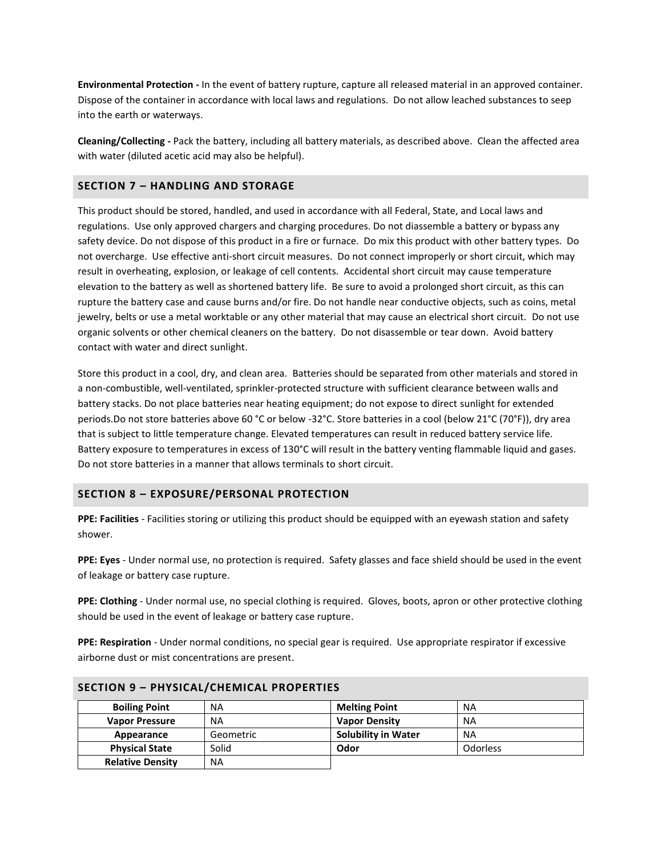**Environmental Protection -** In the event of battery rupture, capture all released material in an approved container. Dispose of the container in accordance with local laws and regulations. Do not allow leached substances to seep into the earth or waterways.

**Cleaning/Collecting -** Pack the battery, including all battery materials, as described above. Clean the affected area with water (diluted acetic acid may also be helpful).

# **SECTION 7 – HANDLING AND STORAGE**

This product should be stored, handled, and used in accordance with all Federal, State, and Local laws and regulations. Use only approved chargers and charging procedures. Do not diassemble a battery or bypass any safety device. Do not dispose of this product in a fire or furnace. Do mix this product with other battery types. Do not overcharge. Use effective anti-short circuit measures. Do not connect improperly or short circuit, which may result in overheating, explosion, or leakage of cell contents. Accidental short circuit may cause temperature elevation to the battery as well as shortened battery life. Be sure to avoid a prolonged short circuit, as this can rupture the battery case and cause burns and/or fire. Do not handle near conductive objects, such as coins, metal jewelry, belts or use a metal worktable or any other material that may cause an electrical short circuit. Do not use organic solvents or other chemical cleaners on the battery. Do not disassemble or tear down. Avoid battery contact with water and direct sunlight.

Store this product in a cool, dry, and clean area. Batteries should be separated from other materials and stored in a non-combustible, well-ventilated, sprinkler-protected structure with sufficient clearance between walls and battery stacks. Do not place batteries near heating equipment; do not expose to direct sunlight for extended periods.Do not store batteries above 60 °C or below -32°C. Store batteries in a cool (below 21°C (70°F)), dry area that is subject to little temperature change. Elevated temperatures can result in reduced battery service life. Battery exposure to temperatures in excess of 130°C will result in the battery venting flammable liquid and gases. Do not store batteries in a manner that allows terminals to short circuit.

## **SECTION 8 – EXPOSURE/PERSONAL PROTECTION**

**PPE: Facilities** - Facilities storing or utilizing this product should be equipped with an eyewash station and safety shower.

**PPE: Eyes** - Under normal use, no protection is required. Safety glasses and face shield should be used in the event of leakage or battery case rupture.

**PPE: Clothing** - Under normal use, no special clothing is required. Gloves, boots, apron or other protective clothing should be used in the event of leakage or battery case rupture.

**PPE: Respiration** - Under normal conditions, no special gear is required. Use appropriate respirator if excessive airborne dust or mist concentrations are present.

| <b>Boiling Point</b>    | <b>NA</b> | <b>Melting Point</b>       | <b>NA</b>       |
|-------------------------|-----------|----------------------------|-----------------|
| <b>Vapor Pressure</b>   | <b>NA</b> | <b>Vapor Density</b>       | <b>NA</b>       |
| Appearance              | Geometric | <b>Solubility in Water</b> | ΝA              |
| <b>Physical State</b>   | Solid     | Odor                       | <b>Odorless</b> |
| <b>Relative Density</b> | <b>NA</b> |                            |                 |

#### **SECTION 9 – PHYSICAL/CHEMICAL PROPERTIES**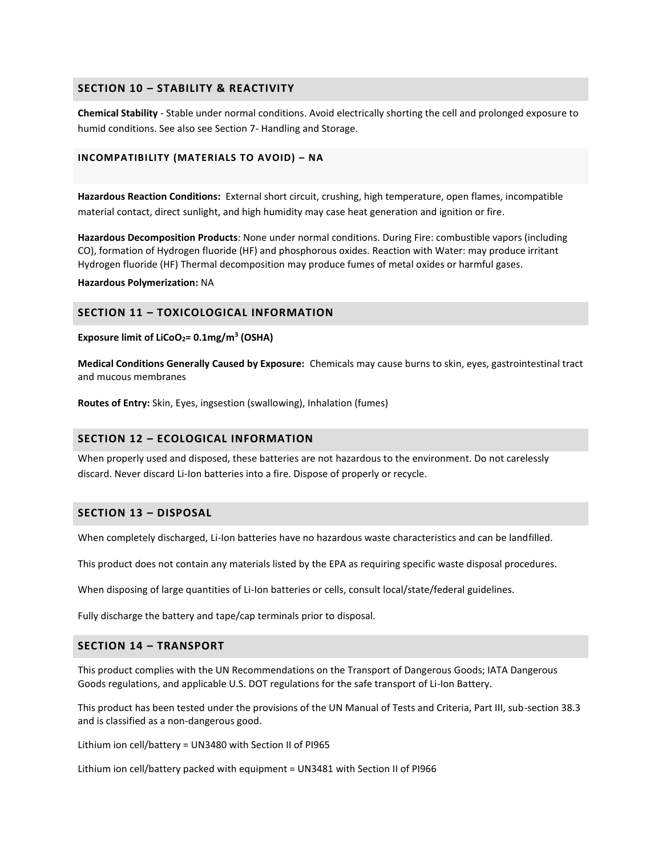## **SECTION 10 – STABILITY & REACTIVITY**

**Chemical Stability** - Stable under normal conditions. Avoid electrically shorting the cell and prolonged exposure to humid conditions. See also see Section 7- Handling and Storage.

#### **INCOMPATIBILITY (MATERIALS TO AVOID) – NA**

**Hazardous Reaction Conditions:** External short circuit, crushing, high temperature, open flames, incompatible material contact, direct sunlight, and high humidity may case heat generation and ignition or fire.

**Hazardous Decomposition Products**: None under normal conditions. During Fire: combustible vapors (including CO), formation of Hydrogen fluoride (HF) and phosphorous oxides. Reaction with Water: may produce irritant Hydrogen fluoride (HF) Thermal decomposition may produce fumes of metal oxides or harmful gases.

**Hazardous Polymerization:** NA

## **SECTION 11 – TOXICOLOGICAL INFORMATION**

**Exposure limit of LiCoO2= 0.1mg/m<sup>3</sup> (OSHA)**

**Medical Conditions Generally Caused by Exposure:** Chemicals may cause burns to skin, eyes, gastrointestinal tract and mucous membranes

**Routes of Entry:** Skin, Eyes, ingsestion (swallowing), Inhalation (fumes)

### **SECTION 12 – ECOLOGICAL INFORMATION**

When properly used and disposed, these batteries are not hazardous to the environment. Do not carelessly discard. Never discard Li-Ion batteries into a fire. Dispose of properly or recycle.

#### **SECTION 13 – DISPOSAL**

When completely discharged, Li-Ion batteries have no hazardous waste characteristics and can be landfilled.

This product does not contain any materials listed by the EPA as requiring specific waste disposal procedures.

When disposing of large quantities of Li-Ion batteries or cells, consult local/state/federal guidelines.

Fully discharge the battery and tape/cap terminals prior to disposal.

## **SECTION 14 – TRANSPORT**

This product complies with the UN Recommendations on the Transport of Dangerous Goods; IATA Dangerous Goods regulations, and applicable U.S. DOT regulations for the safe transport of Li-Ion Battery.

This product has been tested under the provisions of the UN Manual of Tests and Criteria, Part III, sub-section 38.3 and is classified as a non-dangerous good.

Lithium ion cell/battery = UN3480 with Section II of PI965

Lithium ion cell/battery packed with equipment = UN3481 with Section II of PI966